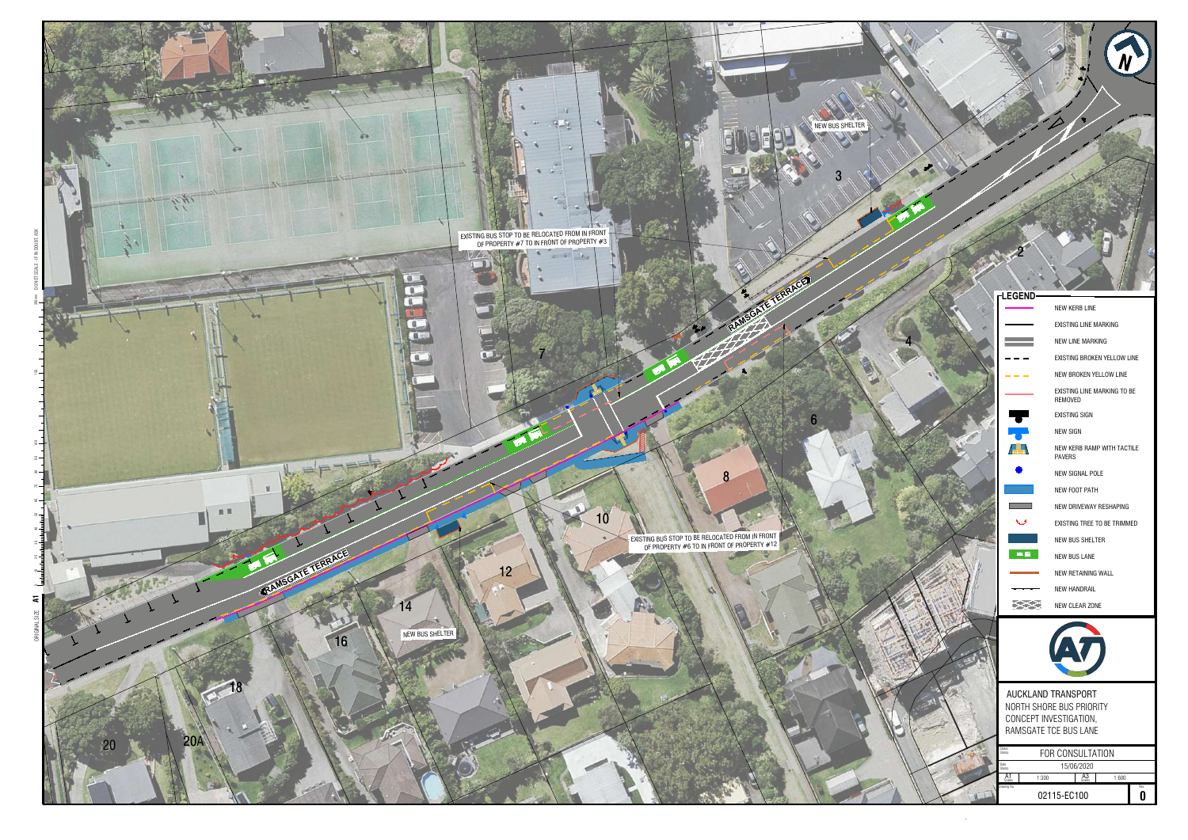

|     | NEW KERB LINE                               |  |
|-----|---------------------------------------------|--|
|     | <b>EXISTING LINE MARKING</b>                |  |
|     | NEW LINE MARKING                            |  |
|     | EXISTING BROKEN YELLOW LINE                 |  |
|     | NEW BROKEN YELLOW LINE                      |  |
|     | EXISTING LINE MARKING TO BE<br>REMOVED      |  |
|     | <b>EXISTING SIGN</b>                        |  |
|     | <b>NEW SIGN</b>                             |  |
|     | NEW KERB RAMP WITH TACTILE<br><b>PAVERS</b> |  |
|     | NEW SIGNAL POLE                             |  |
|     | NEW FOOT PATH                               |  |
|     | NEW DRIVEWAY RESHAPING                      |  |
|     | EXISTING TREE TO BE TRIMMED                 |  |
|     | <b>NEW BUS SHELTER</b>                      |  |
| m/m | <b>NEW BUS LANE</b>                         |  |
|     | NEW RETAINING WALL                          |  |
|     | NEW HANDRAIL                                |  |
| ⋉⋘  | NEW CLEAR ZONE                              |  |
|     |                                             |  |
|     | AUCKLAND TRANSPORT                          |  |
|     |                                             |  |



|                        | AUCKLAND TRANSPORT       |                  |       |      |
|------------------------|--------------------------|------------------|-------|------|
|                        | NORTH SHORE BUS PRIORITY |                  |       |      |
| CONCEPT INVESTIGATION, |                          |                  |       |      |
|                        | RAMSGATE TCE BUS LANE    |                  |       |      |
| itus                   |                          |                  |       |      |
| mo                     |                          | FOR CONSULTATION |       |      |
| imρ                    |                          | 15/06/2020       |       |      |
| $A1$<br>Scales         | 1:300                    | $A3$<br>Scales   | 1:600 |      |
| vina No.               | 02115-EC100              |                  |       | Rev. |

CONCEPT INVESTIGATION, RAMSGATE TCE BUS LANE